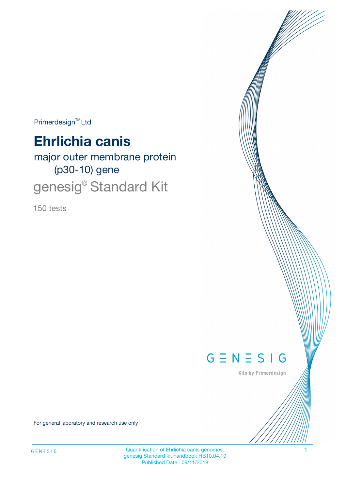Primerdesign<sup>™</sup>Ltd

# **Ehrlichia canis**

major outer membrane protein (p30-10) gene genesig® Standard Kit

150 tests



Kits by Primerdesign

For general laboratory and research use only

Quantification of Ehrlichia canis genomes. 1 genesig Standard kit handbook HB10.04.10 Published Date: 09/11/2018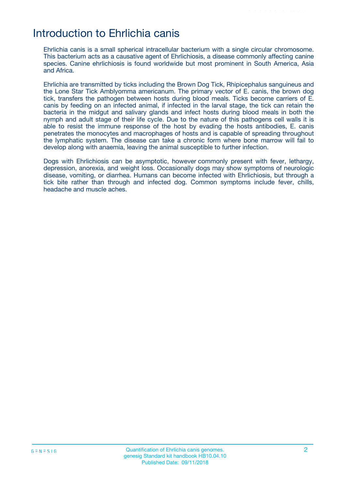### Introduction to Ehrlichia canis

Ehrlichia canis is a small spherical intracellular bacterium with a single circular chromosome. This bacterium acts as a causative agent of Ehrlichiosis, a disease commonly affecting canine species. Canine ehrlichiosis is found worldwide but most prominent in South America, Asia and Africa.

Ehrlichia are transmitted by ticks including the Brown Dog Tick, Rhipicephalus sanguineus and the Lone Star Tick Amblyomma americanum. The primary vector of E. canis, the brown dog tick, transfers the pathogen between hosts during blood meals. Ticks become carriers of E. canis by feeding on an infected animal, if infected in the larval stage, the tick can retain the bacteria in the midgut and salivary glands and infect hosts during blood meals in both the nymph and adult stage of their life cycle. Due to the nature of this pathogens cell walls it is able to resist the immune response of the host by evading the hosts antibodies, E. canis penetrates the monocytes and macrophages of hosts and is capable of spreading throughout the lymphatic system. The disease can take a chronic form where bone marrow will fail to develop along with anaemia, leaving the animal susceptible to further infection.

Dogs with Ehrlichiosis can be asymptotic, however commonly present with fever, lethargy, depression, anorexia, and weight loss. Occasionally dogs may show symptoms of neurologic disease, vomiting, or diarrhea. Humans can become infected with Ehrlichiosis, but through a tick bite rather than through and infected dog. Common symptoms include fever, chills, headache and muscle aches.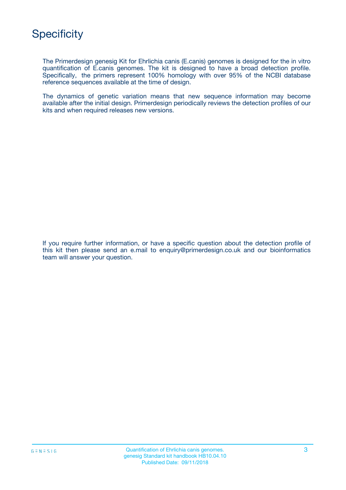

The Primerdesign genesig Kit for Ehrlichia canis (E.canis) genomes is designed for the in vitro quantification of E.canis genomes. The kit is designed to have a broad detection profile. Specifically, the primers represent 100% homology with over 95% of the NCBI database reference sequences available at the time of design.

The dynamics of genetic variation means that new sequence information may become available after the initial design. Primerdesign periodically reviews the detection profiles of our kits and when required releases new versions.

If you require further information, or have a specific question about the detection profile of this kit then please send an e.mail to enquiry@primerdesign.co.uk and our bioinformatics team will answer your question.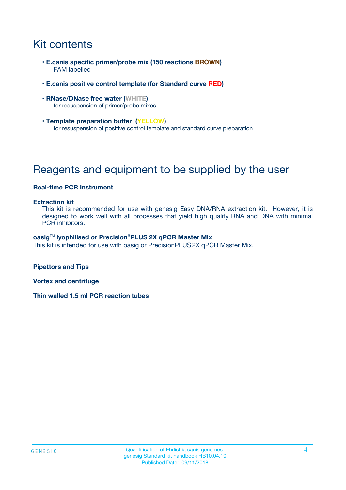# Kit contents

- **E.canis specific primer/probe mix (150 reactions BROWN)** FAM labelled
- **E.canis positive control template (for Standard curve RED)**
- **RNase/DNase free water (WHITE)** for resuspension of primer/probe mixes
- **Template preparation buffer (YELLOW)** for resuspension of positive control template and standard curve preparation

## Reagents and equipment to be supplied by the user

#### **Real-time PCR Instrument**

#### **Extraction kit**

This kit is recommended for use with genesig Easy DNA/RNA extraction kit. However, it is designed to work well with all processes that yield high quality RNA and DNA with minimal PCR inhibitors.

#### **oasig**TM **lyophilised or Precision**®**PLUS 2X qPCR Master Mix**

This kit is intended for use with oasig or PrecisionPLUS2X qPCR Master Mix.

**Pipettors and Tips**

**Vortex and centrifuge**

**Thin walled 1.5 ml PCR reaction tubes**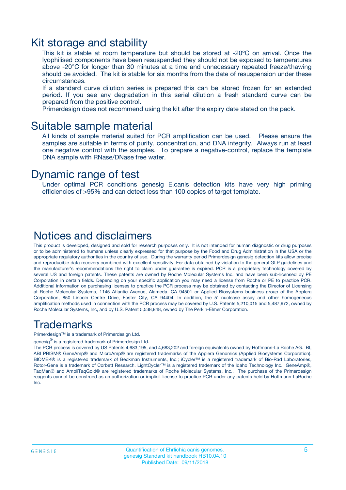### Kit storage and stability

This kit is stable at room temperature but should be stored at -20ºC on arrival. Once the lyophilised components have been resuspended they should not be exposed to temperatures above -20°C for longer than 30 minutes at a time and unnecessary repeated freeze/thawing should be avoided. The kit is stable for six months from the date of resuspension under these circumstances.

If a standard curve dilution series is prepared this can be stored frozen for an extended period. If you see any degradation in this serial dilution a fresh standard curve can be prepared from the positive control.

Primerdesign does not recommend using the kit after the expiry date stated on the pack.

### Suitable sample material

All kinds of sample material suited for PCR amplification can be used. Please ensure the samples are suitable in terms of purity, concentration, and DNA integrity. Always run at least one negative control with the samples. To prepare a negative-control, replace the template DNA sample with RNase/DNase free water.

### Dynamic range of test

Under optimal PCR conditions genesig E.canis detection kits have very high priming efficiencies of >95% and can detect less than 100 copies of target template.

### Notices and disclaimers

This product is developed, designed and sold for research purposes only. It is not intended for human diagnostic or drug purposes or to be administered to humans unless clearly expressed for that purpose by the Food and Drug Administration in the USA or the appropriate regulatory authorities in the country of use. During the warranty period Primerdesign genesig detection kits allow precise and reproducible data recovery combined with excellent sensitivity. For data obtained by violation to the general GLP guidelines and the manufacturer's recommendations the right to claim under guarantee is expired. PCR is a proprietary technology covered by several US and foreign patents. These patents are owned by Roche Molecular Systems Inc. and have been sub-licensed by PE Corporation in certain fields. Depending on your specific application you may need a license from Roche or PE to practice PCR. Additional information on purchasing licenses to practice the PCR process may be obtained by contacting the Director of Licensing at Roche Molecular Systems, 1145 Atlantic Avenue, Alameda, CA 94501 or Applied Biosystems business group of the Applera Corporation, 850 Lincoln Centre Drive, Foster City, CA 94404. In addition, the 5' nuclease assay and other homogeneous amplification methods used in connection with the PCR process may be covered by U.S. Patents 5,210,015 and 5,487,972, owned by Roche Molecular Systems, Inc, and by U.S. Patent 5,538,848, owned by The Perkin-Elmer Corporation.

### Trademarks

Primerdesign™ is a trademark of Primerdesign Ltd.

genesig $^\circledR$  is a registered trademark of Primerdesign Ltd.

The PCR process is covered by US Patents 4,683,195, and 4,683,202 and foreign equivalents owned by Hoffmann-La Roche AG. BI, ABI PRISM® GeneAmp® and MicroAmp® are registered trademarks of the Applera Genomics (Applied Biosystems Corporation). BIOMEK® is a registered trademark of Beckman Instruments, Inc.; iCycler™ is a registered trademark of Bio-Rad Laboratories, Rotor-Gene is a trademark of Corbett Research. LightCycler™ is a registered trademark of the Idaho Technology Inc. GeneAmp®, TaqMan® and AmpliTaqGold® are registered trademarks of Roche Molecular Systems, Inc., The purchase of the Primerdesign reagents cannot be construed as an authorization or implicit license to practice PCR under any patents held by Hoffmann-LaRoche Inc.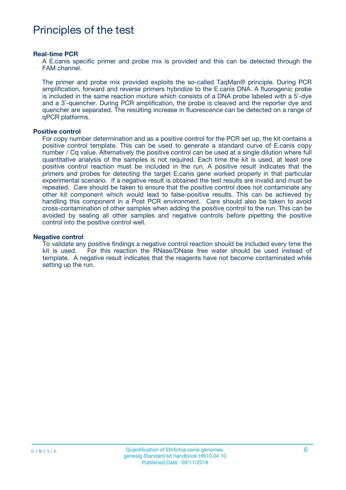### Principles of the test

#### **Real-time PCR**

A E.canis specific primer and probe mix is provided and this can be detected through the FAM channel.

The primer and probe mix provided exploits the so-called TaqMan® principle. During PCR amplification, forward and reverse primers hybridize to the E.canis DNA. A fluorogenic probe is included in the same reaction mixture which consists of a DNA probe labeled with a 5`-dye and a 3`-quencher. During PCR amplification, the probe is cleaved and the reporter dye and quencher are separated. The resulting increase in fluorescence can be detected on a range of qPCR platforms.

#### **Positive control**

For copy number determination and as a positive control for the PCR set up, the kit contains a positive control template. This can be used to generate a standard curve of E.canis copy number / Cq value. Alternatively the positive control can be used at a single dilution where full quantitative analysis of the samples is not required. Each time the kit is used, at least one positive control reaction must be included in the run. A positive result indicates that the primers and probes for detecting the target E.canis gene worked properly in that particular experimental scenario. If a negative result is obtained the test results are invalid and must be repeated. Care should be taken to ensure that the positive control does not contaminate any other kit component which would lead to false-positive results. This can be achieved by handling this component in a Post PCR environment. Care should also be taken to avoid cross-contamination of other samples when adding the positive control to the run. This can be avoided by sealing all other samples and negative controls before pipetting the positive control into the positive control well.

#### **Negative control**

To validate any positive findings a negative control reaction should be included every time the kit is used. For this reaction the RNase/DNase free water should be used instead of template. A negative result indicates that the reagents have not become contaminated while setting up the run.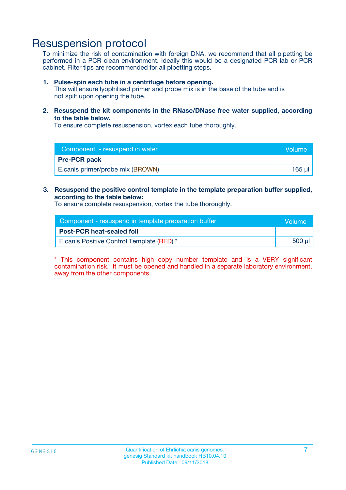### Resuspension protocol

To minimize the risk of contamination with foreign DNA, we recommend that all pipetting be performed in a PCR clean environment. Ideally this would be a designated PCR lab or PCR cabinet. Filter tips are recommended for all pipetting steps.

#### **1. Pulse-spin each tube in a centrifuge before opening.**

This will ensure lyophilised primer and probe mix is in the base of the tube and is not spilt upon opening the tube.

**2. Resuspend the kit components in the RNase/DNase free water supplied, according to the table below.**

To ensure complete resuspension, vortex each tube thoroughly.

| Component - resuspend in water<br>Volume |        |
|------------------------------------------|--------|
| <b>Pre-PCR pack</b>                      |        |
| E.canis primer/probe mix (BROWN)         | 165 ul |

#### **3. Resuspend the positive control template in the template preparation buffer supplied, according to the table below:**

To ensure complete resuspension, vortex the tube thoroughly.

| Component - resuspend in template preparation buffer |        |  |
|------------------------------------------------------|--------|--|
| <b>Post-PCR heat-sealed foil</b>                     |        |  |
| E.canis Positive Control Template (RED) *            | 500 µl |  |

\* This component contains high copy number template and is a VERY significant contamination risk. It must be opened and handled in a separate laboratory environment, away from the other components.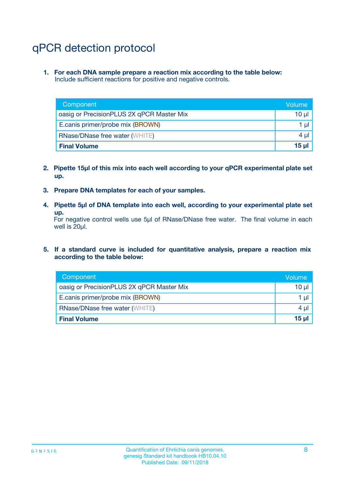# qPCR detection protocol

**1. For each DNA sample prepare a reaction mix according to the table below:** Include sufficient reactions for positive and negative controls.

| Component                                 | Volume           |
|-------------------------------------------|------------------|
| oasig or PrecisionPLUS 2X qPCR Master Mix | 10 $\mu$         |
| E.canis primer/probe mix (BROWN)          | 1 $\mu$          |
| <b>RNase/DNase free water (WHITE)</b>     | $4 \mu$          |
| <b>Final Volume</b>                       | 15 <sub>ul</sub> |

- **2. Pipette 15µl of this mix into each well according to your qPCR experimental plate set up.**
- **3. Prepare DNA templates for each of your samples.**
- **4. Pipette 5µl of DNA template into each well, according to your experimental plate set up.**

For negative control wells use 5µl of RNase/DNase free water. The final volume in each well is 20µl.

**5. If a standard curve is included for quantitative analysis, prepare a reaction mix according to the table below:**

| Component                                 | Volume          |
|-------------------------------------------|-----------------|
| oasig or PrecisionPLUS 2X qPCR Master Mix | 10 µl           |
| E.canis primer/probe mix (BROWN)          | 1 µI            |
| <b>RNase/DNase free water (WHITE)</b>     | $4 \mu$         |
| <b>Final Volume</b>                       | 15 <sub>µ</sub> |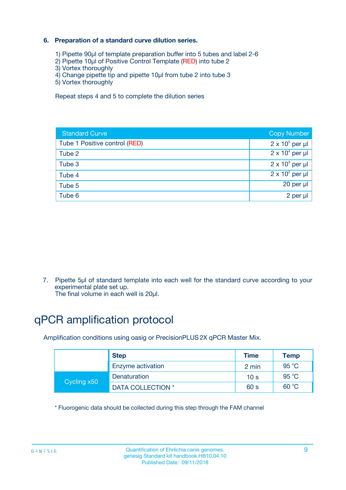#### **6. Preparation of a standard curve dilution series.**

- 1) Pipette 90µl of template preparation buffer into 5 tubes and label 2-6
- 2) Pipette 10µl of Positive Control Template (RED) into tube 2
- 3) Vortex thoroughly
- 4) Change pipette tip and pipette 10µl from tube 2 into tube 3
- 5) Vortex thoroughly

Repeat steps 4 and 5 to complete the dilution series

| <b>Standard Curve</b>         | <b>Copy Number</b>     |
|-------------------------------|------------------------|
| Tube 1 Positive control (RED) | $2 \times 10^5$ per µl |
| Tube 2                        | $2 \times 10^4$ per µl |
| Tube 3                        | $2 \times 10^3$ per µl |
| Tube 4                        | $2 \times 10^2$ per µl |
| Tube 5                        | 20 per µl              |
| Tube 6                        | 2 per ul               |

7. Pipette 5µl of standard template into each well for the standard curve according to your experimental plate set up.

The final volume in each well is 20µl.

# qPCR amplification protocol

Amplification conditions using oasig or PrecisionPLUS2X qPCR Master Mix.

|             | <b>Step</b>       | <b>Time</b>     | Temp    |
|-------------|-------------------|-----------------|---------|
|             | Enzyme activation | 2 min           | 95 °C   |
| Cycling x50 | Denaturation      | 10 <sub>s</sub> | 95 $°C$ |
|             | DATA COLLECTION * | 60 s            | 60 °C   |

\* Fluorogenic data should be collected during this step through the FAM channel